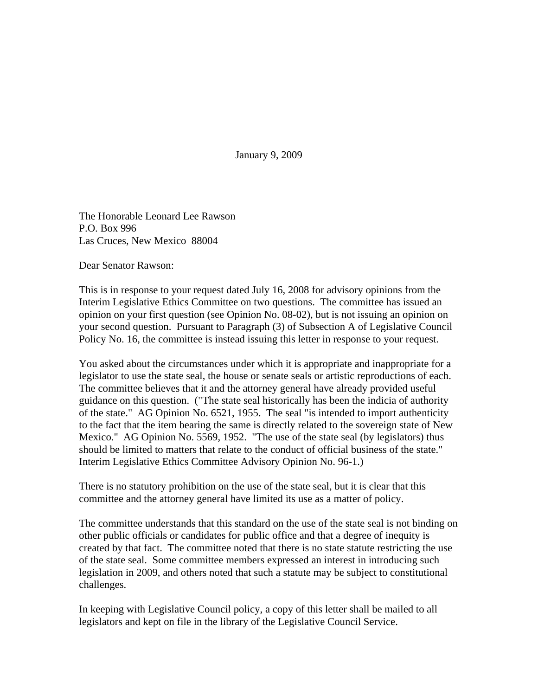January 9, 2009

The Honorable Leonard Lee Rawson P.O. Box 996 Las Cruces, New Mexico 88004

Dear Senator Rawson:

This is in response to your request dated July 16, 2008 for advisory opinions from the Interim Legislative Ethics Committee on two questions. The committee has issued an opinion on your first question (see Opinion No. 08-02), but is not issuing an opinion on your second question. Pursuant to Paragraph (3) of Subsection A of Legislative Council Policy No. 16, the committee is instead issuing this letter in response to your request.

You asked about the circumstances under which it is appropriate and inappropriate for a legislator to use the state seal, the house or senate seals or artistic reproductions of each. The committee believes that it and the attorney general have already provided useful guidance on this question. ("The state seal historically has been the indicia of authority of the state." AG Opinion No. 6521, 1955. The seal "is intended to import authenticity to the fact that the item bearing the same is directly related to the sovereign state of New Mexico." AG Opinion No. 5569, 1952. "The use of the state seal (by legislators) thus should be limited to matters that relate to the conduct of official business of the state." Interim Legislative Ethics Committee Advisory Opinion No. 96-1.)

There is no statutory prohibition on the use of the state seal, but it is clear that this committee and the attorney general have limited its use as a matter of policy.

The committee understands that this standard on the use of the state seal is not binding on other public officials or candidates for public office and that a degree of inequity is created by that fact. The committee noted that there is no state statute restricting the use of the state seal. Some committee members expressed an interest in introducing such legislation in 2009, and others noted that such a statute may be subject to constitutional challenges.

In keeping with Legislative Council policy, a copy of this letter shall be mailed to all legislators and kept on file in the library of the Legislative Council Service.